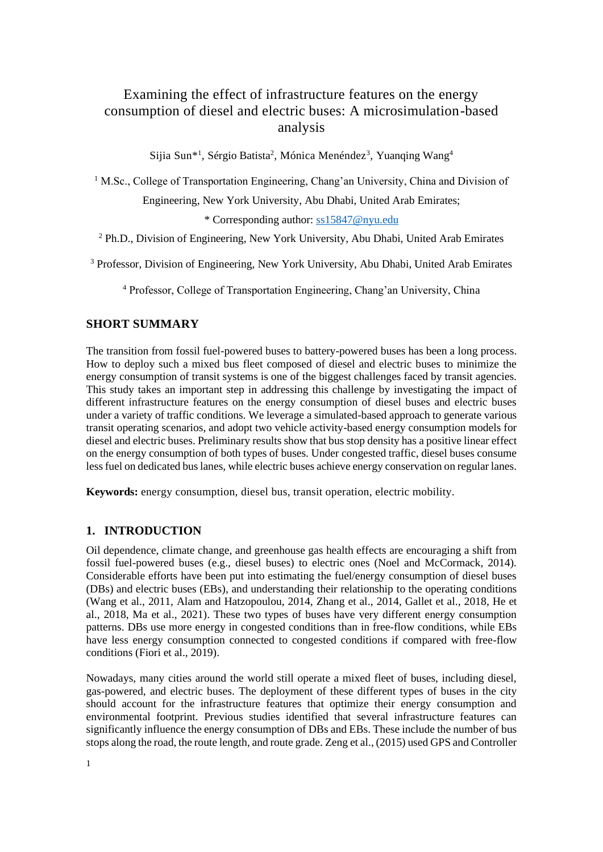# Examining the effect of infrastructure features on the energy consumption of diesel and electric buses: A microsimulation-based analysis

Sijia Sun<sup>\*1</sup>, Sérgio Batista<sup>2</sup>, Mónica Menéndez<sup>3</sup>, Yuanqing Wang<sup>4</sup>

<sup>1</sup> M.Sc., College of Transportation Engineering, Chang'an University, China and Division of

Engineering, New York University, Abu Dhabi, United Arab Emirates;

\* Corresponding author: [ss15847@nyu.edu](mailto:ss15847@nyu.edu)

<sup>2</sup> Ph.D., Division of Engineering, New York University, Abu Dhabi, United Arab Emirates

<sup>3</sup> Professor, Division of Engineering, New York University, Abu Dhabi, United Arab Emirates

<sup>4</sup> Professor, College of Transportation Engineering, Chang'an University, China

### **SHORT SUMMARY**

The transition from fossil fuel-powered buses to battery-powered buses has been a long process. How to deploy such a mixed bus fleet composed of diesel and electric buses to minimize the energy consumption of transit systems is one of the biggest challenges faced by transit agencies. This study takes an important step in addressing this challenge by investigating the impact of different infrastructure features on the energy consumption of diesel buses and electric buses under a variety of traffic conditions. We leverage a simulated-based approach to generate various transit operating scenarios, and adopt two vehicle activity-based energy consumption models for diesel and electric buses. Preliminary results show that bus stop density has a positive linear effect on the energy consumption of both types of buses. Under congested traffic, diesel buses consume less fuel on dedicated bus lanes, while electric buses achieve energy conservation on regular lanes.

**Keywords:** energy consumption, diesel bus, transit operation, electric mobility.

# **1. INTRODUCTION**

Oil dependence, climate change, and greenhouse gas health effects are encouraging a shift from fossil fuel-powered buses (e.g., diesel buses) to electric ones (Noel and McCormack, 2014). Considerable efforts have been put into estimating the fuel/energy consumption of diesel buses (DBs) and electric buses (EBs), and understanding their relationship to the operating conditions (Wang et al., 2011, Alam and Hatzopoulou, 2014, Zhang et al., 2014, Gallet et al., 2018, He et al., 2018, Ma et al., 2021). These two types of buses have very different energy consumption patterns. DBs use more energy in congested conditions than in free-flow conditions, while EBs have less energy consumption connected to congested conditions if compared with free-flow conditions (Fiori et al., 2019).

Nowadays, many cities around the world still operate a mixed fleet of buses, including diesel, gas-powered, and electric buses. The deployment of these different types of buses in the city should account for the infrastructure features that optimize their energy consumption and environmental footprint. Previous studies identified that several infrastructure features can significantly influence the energy consumption of DBs and EBs. These include the number of bus stops along the road, the route length, and route grade. Zeng et al., (2015) used GPS and Controller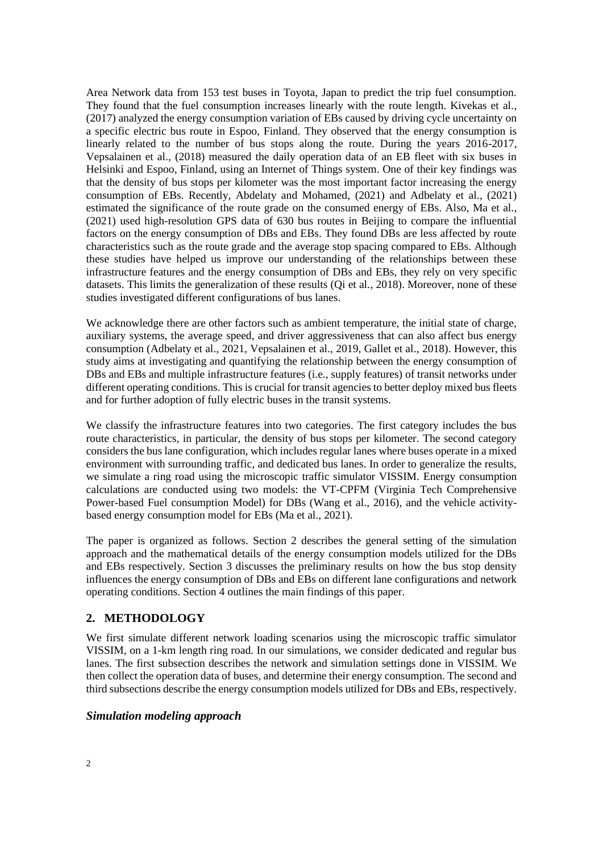Area Network data from 153 test buses in Toyota, Japan to predict the trip fuel consumption. They found that the fuel consumption increases linearly with the route length. Kivekas et al., (2017) analyzed the energy consumption variation of EBs caused by driving cycle uncertainty on a specific electric bus route in Espoo, Finland. They observed that the energy consumption is linearly related to the number of bus stops along the route. During the years 2016-2017, Vepsalainen et al., (2018) measured the daily operation data of an EB fleet with six buses in Helsinki and Espoo, Finland, using an Internet of Things system. One of their key findings was that the density of bus stops per kilometer was the most important factor increasing the energy consumption of EBs. Recently, Abdelaty and Mohamed, (2021) and Adbelaty et al., (2021) estimated the significance of the route grade on the consumed energy of EBs. Also, Ma et al., (2021) used high-resolution GPS data of 630 bus routes in Beijing to compare the influential factors on the energy consumption of DBs and EBs. They found DBs are less affected by route characteristics such as the route grade and the average stop spacing compared to EBs. Although these studies have helped us improve our understanding of the relationships between these infrastructure features and the energy consumption of DBs and EBs, they rely on very specific datasets. This limits the generalization of these results (Qi et al., 2018). Moreover, none of these studies investigated different configurations of bus lanes.

We acknowledge there are other factors such as ambient temperature, the initial state of charge, auxiliary systems, the average speed, and driver aggressiveness that can also affect bus energy consumption (Adbelaty et al., 2021, Vepsalainen et al., 2019, Gallet et al., 2018). However, this study aims at investigating and quantifying the relationship between the energy consumption of DBs and EBs and multiple infrastructure features (i.e., supply features) of transit networks under different operating conditions. This is crucial for transit agencies to better deploy mixed bus fleets and for further adoption of fully electric buses in the transit systems.

We classify the infrastructure features into two categories. The first category includes the bus route characteristics, in particular, the density of bus stops per kilometer. The second category considers the bus lane configuration, which includes regular lanes where buses operate in a mixed environment with surrounding traffic, and dedicated bus lanes. In order to generalize the results, we simulate a ring road using the microscopic traffic simulator VISSIM. Energy consumption calculations are conducted using two models: the VT-CPFM (Virginia Tech Comprehensive Power-based Fuel consumption Model) for DBs (Wang et al., 2016), and the vehicle activitybased energy consumption model for EBs (Ma et al., 2021).

The paper is organized as follows. Section 2 describes the general setting of the simulation approach and the mathematical details of the energy consumption models utilized for the DBs and EBs respectively. Section 3 discusses the preliminary results on how the bus stop density influences the energy consumption of DBs and EBs on different lane configurations and network operating conditions. Section 4 outlines the main findings of this paper.

# **2. METHODOLOGY**

We first simulate different network loading scenarios using the microscopic traffic simulator VISSIM, on a 1-km length ring road. In our simulations, we consider dedicated and regular bus lanes. The first subsection describes the network and simulation settings done in VISSIM. We then collect the operation data of buses, and determine their energy consumption. The second and third subsections describe the energy consumption models utilized for DBs and EBs, respectively.

#### *Simulation modeling approach*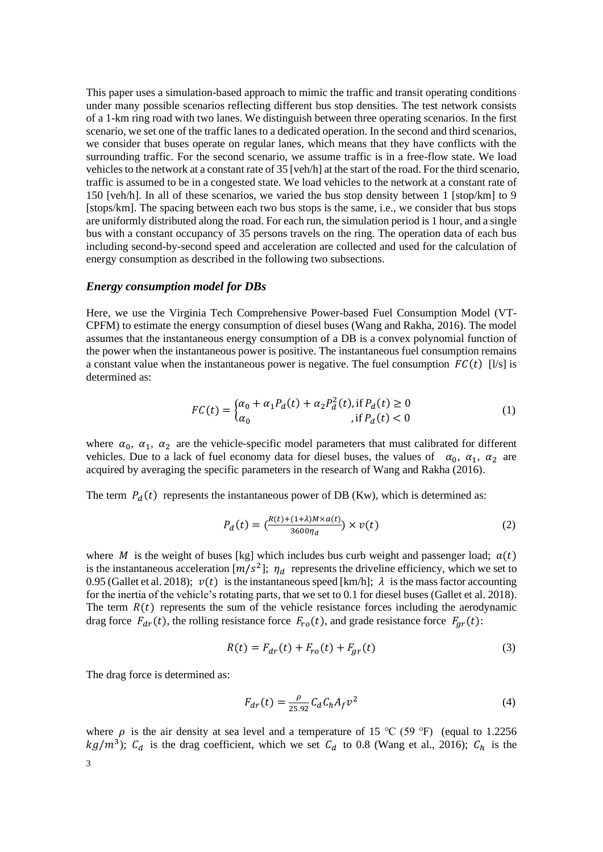This paper uses a simulation-based approach to mimic the traffic and transit operating conditions under many possible scenarios reflecting different bus stop densities. The test network consists of a 1-km ring road with two lanes. We distinguish between three operating scenarios. In the first scenario, we set one of the traffic lanes to a dedicated operation. In the second and third scenarios, we consider that buses operate on regular lanes, which means that they have conflicts with the surrounding traffic. For the second scenario, we assume traffic is in a free-flow state. We load vehicles to the network at a constant rate of 35 [veh/h] at the start of the road. For the third scenario, traffic is assumed to be in a congested state. We load vehicles to the network at a constant rate of 150 [veh/h]. In all of these scenarios, we varied the bus stop density between 1 [stop/km] to 9 [stops/km]. The spacing between each two bus stops is the same, i.e., we consider that bus stops are uniformly distributed along the road. For each run, the simulation period is 1 hour, and a single bus with a constant occupancy of 35 persons travels on the ring. The operation data of each bus including second-by-second speed and acceleration are collected and used for the calculation of energy consumption as described in the following two subsections.

#### *Energy consumption model for DBs*

Here, we use the Virginia Tech Comprehensive Power-based Fuel Consumption Model (VT-CPFM) to estimate the energy consumption of diesel buses (Wang and Rakha, 2016). The model assumes that the instantaneous energy consumption of a DB is a convex polynomial function of the power when the instantaneous power is positive. The instantaneous fuel consumption remains a constant value when the instantaneous power is negative. The fuel consumption  $FC(t)$  [l/s] is determined as:

$$
FC(t) = \begin{cases} \alpha_0 + \alpha_1 P_d(t) + \alpha_2 P_d^2(t), \text{ if } P_d(t) \ge 0\\ \alpha_0, \text{ if } P_d(t) < 0 \end{cases}
$$
 (1)

where  $\alpha_0$ ,  $\alpha_1$ ,  $\alpha_2$  are the vehicle-specific model parameters that must calibrated for different vehicles. Due to a lack of fuel economy data for diesel buses, the values of  $\alpha_0$ ,  $\alpha_1$ ,  $\alpha_2$  are acquired by averaging the specific parameters in the research of Wang and Rakha (2016).

The term  $P_d(t)$  represents the instantaneous power of DB (Kw), which is determined as:

$$
P_d(t) = \left(\frac{R(t) + (1+\lambda)M \times a(t)}{3600\eta_d}\right) \times v(t)
$$
\n(2)

where M is the weight of buses [kg] which includes bus curb weight and passenger load;  $a(t)$ is the instantaneous acceleration  $[m/s^2]$ ;  $\eta_d$  represents the driveline efficiency, which we set to 0.95 (Gallet et al. 2018);  $v(t)$  is the instantaneous speed [km/h];  $\lambda$  is the mass factor accounting for the inertia of the vehicle's rotating parts, that we set to 0.1 for diesel buses (Gallet et al. 2018). The term  $R(t)$  represents the sum of the vehicle resistance forces including the aerodynamic drag force  $F_{dr}(t)$ , the rolling resistance force  $F_{ro}(t)$ , and grade resistance force  $F_{gr}(t)$ :

$$
R(t) = F_{dr}(t) + F_{ro}(t) + F_{gr}(t)
$$
\n(3)

The drag force is determined as:

$$
F_{dr}(t) = \frac{\rho}{25.92} C_d C_h A_f v^2
$$
 (4)

where  $\rho$  is the air density at sea level and a temperature of 15 °C (59 °F) (equal to 1.2256  $kg/m^3$ );  $C_d$  is the drag coefficient, which we set  $C_d$  to 0.8 (Wang et al., 2016);  $C_h$  is the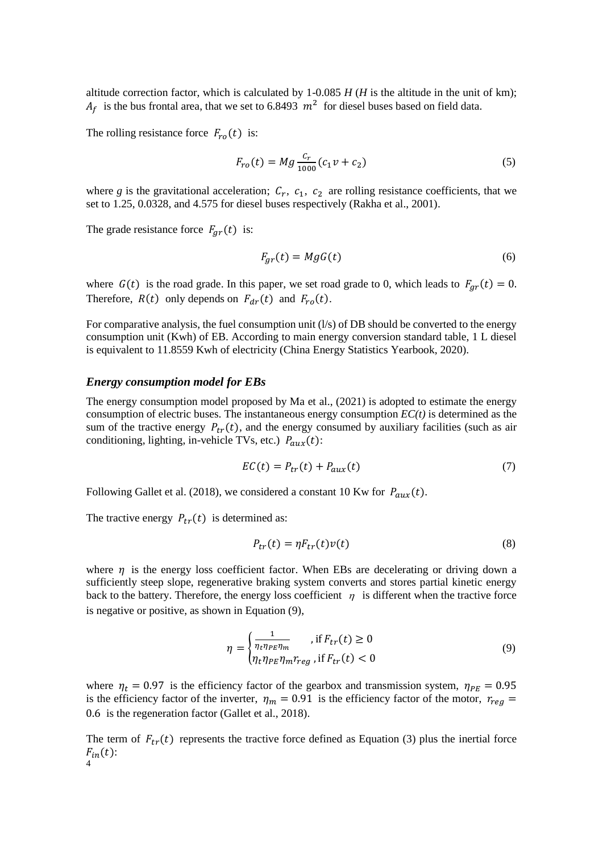altitude correction factor, which is calculated by  $1\n-0.085$  *H* (*H* is the altitude in the unit of km);  $A_f$  is the bus frontal area, that we set to 6.8493  $m^2$  for diesel buses based on field data.

The rolling resistance force  $F_{r0}(t)$  is:

$$
F_{ro}(t) = Mg \frac{c_r}{1000} (c_1 v + c_2)
$$
 (5)

where g is the gravitational acceleration;  $C_r$ ,  $c_1$ ,  $c_2$  are rolling resistance coefficients, that we set to 1.25, 0.0328, and 4.575 for diesel buses respectively (Rakha et al., 2001).

The grade resistance force  $F_{gr}(t)$  is:

$$
F_{gr}(t) = MgG(t) \tag{6}
$$

where  $G(t)$  is the road grade. In this paper, we set road grade to 0, which leads to  $F_{qr}(t) = 0$ . Therefore,  $R(t)$  only depends on  $F_{dr}(t)$  and  $F_{r0}(t)$ .

For comparative analysis, the fuel consumption unit  $(1/s)$  of DB should be converted to the energy consumption unit (Kwh) of EB. According to main energy conversion standard table, 1 L diesel is equivalent to 11.8559 Kwh of electricity (China Energy Statistics Yearbook, 2020).

#### *Energy consumption model for EBs*

The energy consumption model proposed by Ma et al., (2021) is adopted to estimate the energy consumption of electric buses. The instantaneous energy consumption *EC(t)* is determined as the sum of the tractive energy  $P_{tr}(t)$ , and the energy consumed by auxiliary facilities (such as air conditioning, lighting, in-vehicle TVs, etc.)  $P_{aux}(t)$ :

$$
EC(t) = P_{tr}(t) + P_{aux}(t)
$$
\n(7)

Following Gallet et al. (2018), we considered a constant 10 Kw for  $P_{aux}(t)$ .

The tractive energy  $P_{tr}(t)$  is determined as:

$$
P_{tr}(t) = \eta F_{tr}(t) v(t)
$$
\n(8)

where  $\eta$  is the energy loss coefficient factor. When EBs are decelerating or driving down a sufficiently steep slope, regenerative braking system converts and stores partial kinetic energy back to the battery. Therefore, the energy loss coefficient  $\eta$  is different when the tractive force is negative or positive, as shown in Equation (9),

$$
\eta = \begin{cases} \frac{1}{\eta_t \eta_{PE} \eta_m}, & \text{if } F_{tr}(t) \ge 0\\ \eta_t \eta_{PE} \eta_m r_{reg}, & \text{if } F_{tr}(t) < 0 \end{cases}
$$
(9)

where  $\eta_t = 0.97$  is the efficiency factor of the gearbox and transmission system,  $\eta_{PE} = 0.95$ is the efficiency factor of the inverter,  $\eta_m = 0.91$  is the efficiency factor of the motor,  $r_{reg} =$ 0.6 is the regeneration factor (Gallet et al., 2018).

4 The term of  $F_{tr}(t)$  represents the tractive force defined as Equation (3) plus the inertial force  $F_{in}(t)$ :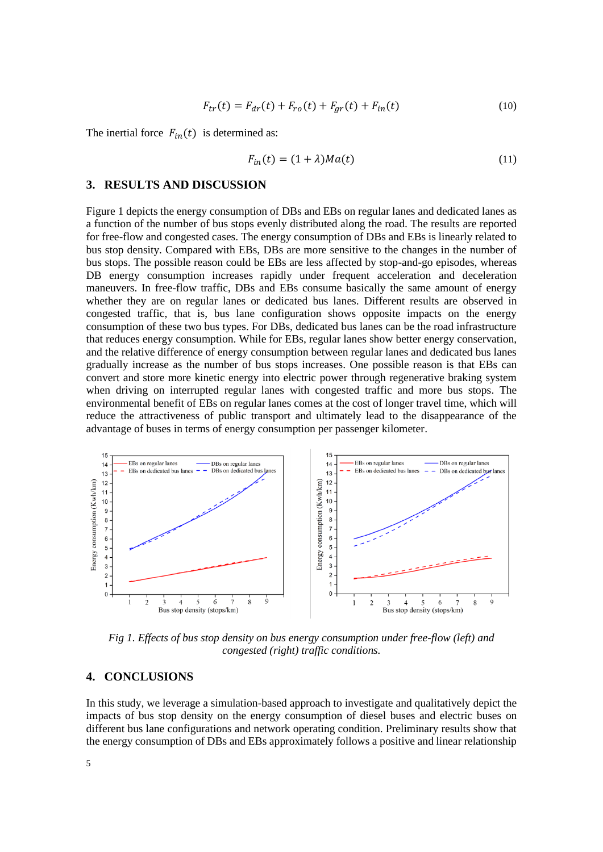$$
F_{tr}(t) = F_{dr}(t) + F_{ro}(t) + F_{gr}(t) + F_{in}(t)
$$
\n(10)

The inertial force  $F_{in}(t)$  is determined as:

$$
F_{in}(t) = (1 + \lambda)Ma(t)
$$
\n(11)

#### **3. RESULTS AND DISCUSSION**

Figure 1 depicts the energy consumption of DBs and EBs on regular lanes and dedicated lanes as a function of the number of bus stops evenly distributed along the road. The results are reported for free-flow and congested cases. The energy consumption of DBs and EBs is linearly related to bus stop density. Compared with EBs, DBs are more sensitive to the changes in the number of bus stops. The possible reason could be EBs are less affected by stop-and-go episodes, whereas DB energy consumption increases rapidly under frequent acceleration and deceleration maneuvers. In free-flow traffic, DBs and EBs consume basically the same amount of energy whether they are on regular lanes or dedicated bus lanes. Different results are observed in congested traffic, that is, bus lane configuration shows opposite impacts on the energy consumption of these two bus types. For DBs, dedicated bus lanes can be the road infrastructure that reduces energy consumption. While for EBs, regular lanes show better energy conservation, and the relative difference of energy consumption between regular lanes and dedicated bus lanes gradually increase as the number of bus stops increases. One possible reason is that EBs can convert and store more kinetic energy into electric power through regenerative braking system when driving on interrupted regular lanes with congested traffic and more bus stops. The environmental benefit of EBs on regular lanes comes at the cost of longer travel time, which will reduce the attractiveness of public transport and ultimately lead to the disappearance of the advantage of buses in terms of energy consumption per passenger kilometer.



*Fig 1. Effects of bus stop density on bus energy consumption under free-flow (left) and congested (right) traffic conditions.*

### **4. CONCLUSIONS**

In this study, we leverage a simulation-based approach to investigate and qualitatively depict the impacts of bus stop density on the energy consumption of diesel buses and electric buses on different bus lane configurations and network operating condition. Preliminary results show that the energy consumption of DBs and EBs approximately follows a positive and linear relationship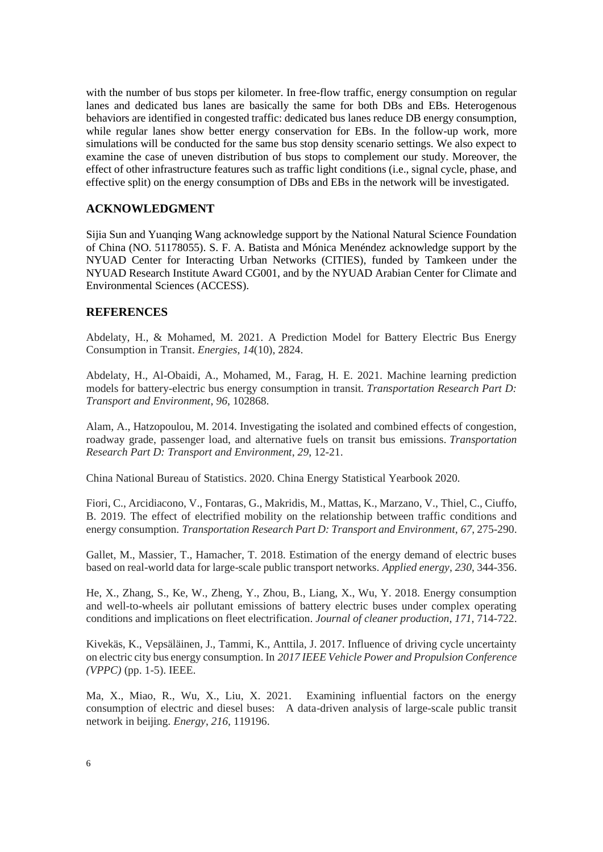with the number of bus stops per kilometer. In free-flow traffic, energy consumption on regular lanes and dedicated bus lanes are basically the same for both DBs and EBs. Heterogenous behaviors are identified in congested traffic: dedicated bus lanes reduce DB energy consumption, while regular lanes show better energy conservation for EBs. In the follow-up work, more simulations will be conducted for the same bus stop density scenario settings. We also expect to examine the case of uneven distribution of bus stops to complement our study. Moreover, the effect of other infrastructure features such as traffic light conditions (i.e., signal cycle, phase, and effective split) on the energy consumption of DBs and EBs in the network will be investigated.

# **ACKNOWLEDGMENT**

Sijia Sun and Yuanqing Wang acknowledge support by the National Natural Science Foundation of China (NO. 51178055). S. F. A. Batista and Mónica Menéndez acknowledge support by the NYUAD Center for Interacting Urban Networks (CITIES), funded by Tamkeen under the NYUAD Research Institute Award CG001, and by the NYUAD Arabian Center for Climate and Environmental Sciences (ACCESS).

### **REFERENCES**

Abdelaty, H., & Mohamed, M. 2021. A Prediction Model for Battery Electric Bus Energy Consumption in Transit. *Energies*, *14*(10), 2824.

Abdelaty, H., Al-Obaidi, A., Mohamed, M., Farag, H. E. 2021. Machine learning prediction models for battery-electric bus energy consumption in transit. *Transportation Research Part D: Transport and Environment*, *96*, 102868.

Alam, A., Hatzopoulou, M. 2014. Investigating the isolated and combined effects of congestion, roadway grade, passenger load, and alternative fuels on transit bus emissions. *Transportation Research Part D: Transport and Environment*, *29*, 12-21.

China National Bureau of Statistics. 2020. China Energy Statistical Yearbook 2020.

Fiori, C., Arcidiacono, V., Fontaras, G., Makridis, M., Mattas, K., Marzano, V., Thiel, C., Ciuffo, B. 2019. The effect of electrified mobility on the relationship between traffic conditions and energy consumption. *Transportation Research Part D: Transport and Environment*, *67*, 275-290.

Gallet, M., Massier, T., Hamacher, T. 2018. Estimation of the energy demand of electric buses based on real-world data for large-scale public transport networks. *Applied energy*, *230*, 344-356.

He, X., Zhang, S., Ke, W., Zheng, Y., Zhou, B., Liang, X., Wu, Y. 2018. Energy consumption and well-to-wheels air pollutant emissions of battery electric buses under complex operating conditions and implications on fleet electrification. *Journal of cleaner production*, *171*, 714-722.

Kivekäs, K., Vepsäläinen, J., Tammi, K., Anttila, J. 2017. Influence of driving cycle uncertainty on electric city bus energy consumption. In *2017 IEEE Vehicle Power and Propulsion Conference (VPPC)* (pp. 1-5). IEEE.

Ma, X., Miao, R., Wu, X., Liu, X. 2021. Examining influential factors on the energy consumption of electric and diesel buses: A data-driven analysis of large-scale public transit network in beijing. *Energy*, *216*, 119196.